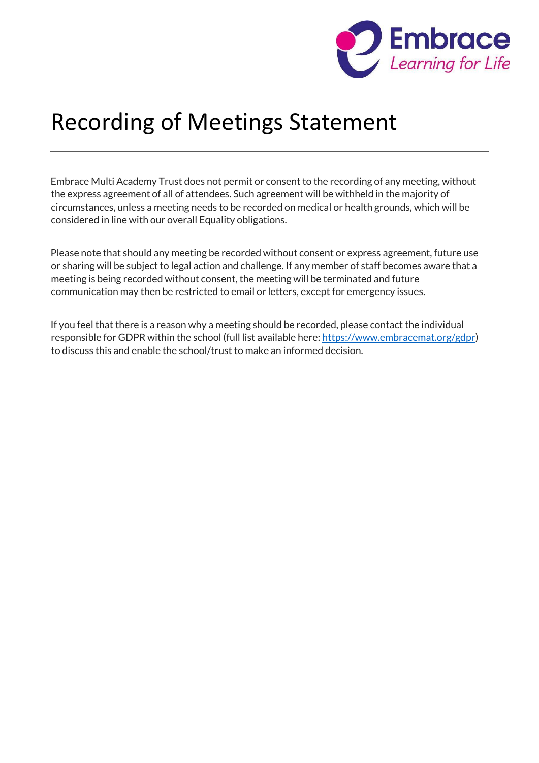

## Recording of Meetings Statement

Embrace Multi Academy Trust does not permit or consent to the recording of any meeting, without the express agreement of all of attendees. Such agreement will be withheld in the majority of circumstances, unless a meeting needs to be recorded on medical or health grounds, which will be considered in line with our overall Equality obligations.

Please note that should any meeting be recorded without consent or express agreement, future use or sharing will be subject to legal action and challenge. If any member of staff becomes aware that a meeting is being recorded without consent, the meeting will be terminated and future communication may then be restricted to email or letters, except for emergency issues.

If you feel that there is a reason why a meeting should be recorded, please contact the individual responsible for GDPR within the school (full list available here: [https://www.embracemat.org/gdpr\)](https://www.embracemat.org/gdpr) to discuss this and enable the school/trust to make an informed decision.